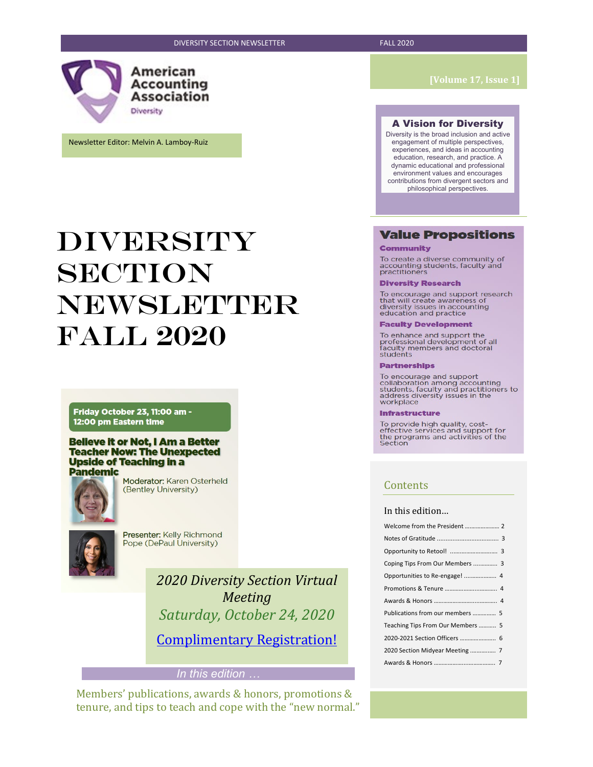American Accounting **Association** Diversity

Newsletter Editor: Melvin A. Lamboy-Ruiz

# DIVERSITY **SECTION NEWSLETTER** FalL 2020

Friday October 23, 11:00 am -12:00 pm Eastern time

#### **Believe it or Not, I Am a Better Teacher Now: The Unexpected Upside of Teaching in a Pandemic**



Moderator: Karen Osterheld (Bentley University)



Presenter: Kelly Richmond Pope (DePaul University)

> *2020 Diversity Section Virtual Meeting Saturday, October 24, 2020*

[Complimentary Registration!](https://aaahq.org/Meetings/2020/Diversity-Section-Meeting)

#### *In this edition …*

Members' publications, awards & honors, promotions & tenure, and tips to teach and cope with the "new normal."

#### A Vision for Diversity

Diversity is the broad inclusion and active engagement of multiple perspectives, experiences, and ideas in accounting education, research, and practice. A dynamic educational and professional environment values and encourages contributions from divergent sectors and philosophical perspectives.

#### **Value Propositions**

#### **Community**

To create a diverse community of<br>accounting students, faculty and<br>practitioners

#### **Diversity Research**

To encourage and support research<br>that will create awareness of<br>diversity issues in accounting<br>education and practice

#### **Faculty Development**

To enhance and support the<br>professional development of all<br>faculty members and doctoral<br>students

#### **Partnerships**

To encourage and support Follaboration among accounting<br>students, faculty and practitioners to<br>address diversity issues in the<br>workplace

#### **Infrastructure**

To provide high quality, cost-<br>effective services and support for<br>the programs and activities of the<br>Section

#### **Contents**

#### In this edition…

| Coping Tips From Our Members  3   |
|-----------------------------------|
|                                   |
|                                   |
|                                   |
| Publications from our members  5  |
| Teaching Tips From Our Members  5 |
|                                   |
| 2020 Section Midyear Meeting  7   |
|                                   |
|                                   |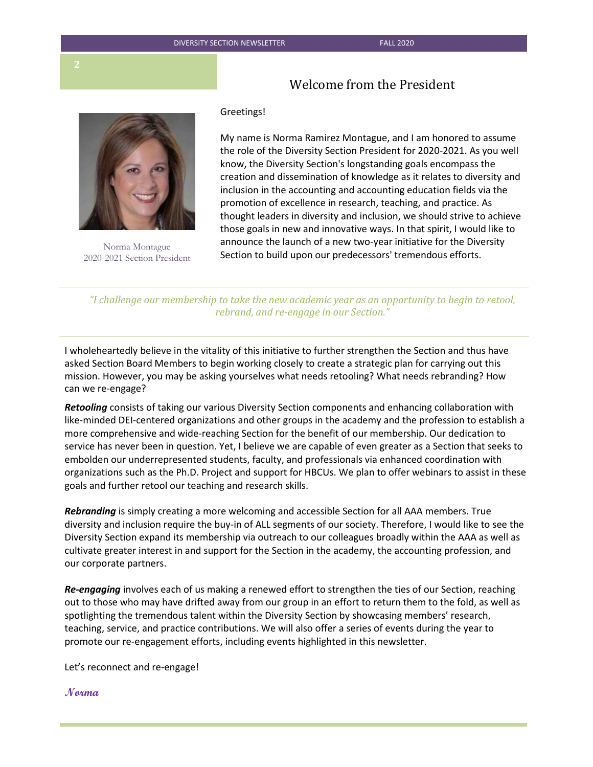### Welcome from the President



Norma Montague 2020-2021 Section President

#### Greetings!

My name is Norma Ramirez Montague, and I am honored to assume the role of the Diversity Section President for 2020-2021. As you well know, the Diversity Section's longstanding goals encompass the creation and dissemination of knowledge as it relates to diversity and inclusion in the accounting and accounting education fields via the promotion of excellence in research, teaching, and practice. As thought leaders in diversity and inclusion, we should strive to achieve those goals in new and innovative ways. In that spirit, I would like to announce the launch of a new two-year initiative for the Diversity Section to build upon our predecessors' tremendous efforts.

*"I challenge our membership to take the new academic year as an opportunity to begin to retool, rebrand, and re-engage in our Section."* 

I wholeheartedly believe in the vitality of this initiative to further strengthen the Section and thus have asked Section Board Members to begin working closely to create a strategic plan for carrying out this mission. However, you may be asking yourselves what needs retooling? What needs rebranding? How can we re-engage?

*Retooling* consists of taking our various Diversity Section components and enhancing collaboration with like-minded DEI-centered organizations and other groups in the academy and the profession to establish a more comprehensive and wide-reaching Section for the benefit of our membership. Our dedication to service has never been in question. Yet, I believe we are capable of even greater as a Section that seeks to embolden our underrepresented students, faculty, and professionals via enhanced coordination with organizations such as the Ph.D. Project and support for HBCUs. We plan to offer webinars to assist in these goals and further retool our teaching and research skills.

*Rebranding* is simply creating a more welcoming and accessible Section for all AAA members. True diversity and inclusion require the buy-in of ALL segments of our society. Therefore, I would like to see the Diversity Section expand its membership via outreach to our colleagues broadly within the AAA as well as cultivate greater interest in and support for the Section in the academy, the accounting profession, and our corporate partners.

*Re-engaging* involves each of us making a renewed effort to strengthen the ties of our Section, reaching out to those who may have drifted away from our group in an effort to return them to the fold, as well as spotlighting the tremendous talent within the Diversity Section by showcasing members' research, teaching, service, and practice contributions. We will also offer a series of events during the year to promote our re-engagement efforts, including events highlighted in this newsletter.

Let's reconnect and re-engage!

**Norma**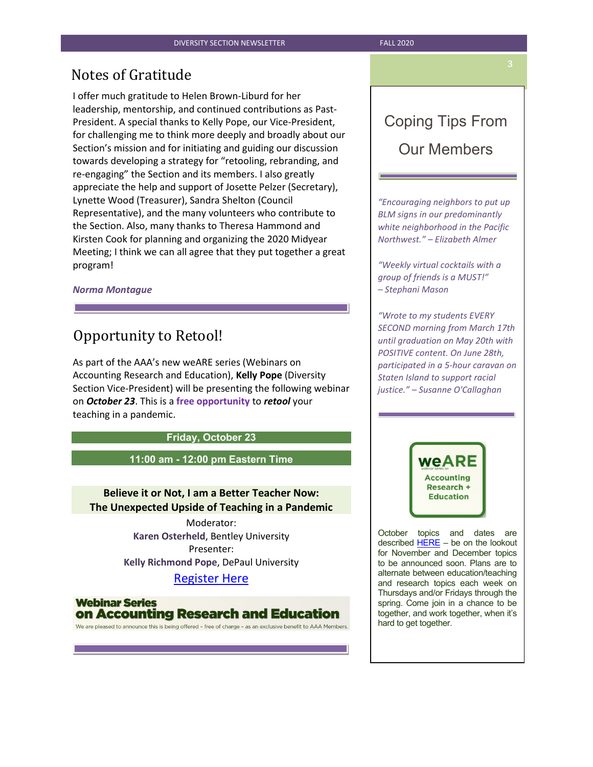## Notes of Gratitude

I offer much gratitude to Helen Brown-Liburd for her leadership, mentorship, and continued contributions as Past-President. A special thanks to Kelly Pope, our Vice-President, for challenging me to think more deeply and broadly about our Section's mission and for initiating and guiding our discussion towards developing a strategy for "retooling, rebranding, and re-engaging" the Section and its members. I also greatly appreciate the help and support of Josette Pelzer (Secretary), Lynette Wood (Treasurer), Sandra Shelton (Council Representative), and the many volunteers who contribute to the Section. Also, many thanks to Theresa Hammond and Kirsten Cook for planning and organizing the 2020 Midyear Meeting; I think we can all agree that they put together a great program!

#### *Norma Montague*

## Opportunity to Retool!

As part of the AAA's new weARE series (Webinars on Accounting Research and Education), **Kelly Pope** (Diversity Section Vice-President) will be presenting the following webinar on *October 23*. This is a **free opportunity** to *retool* your teaching in a pandemic.

#### **Friday, October 23**

#### **11:00 am - 12:00 pm Eastern Time**

#### **Believe it or Not, I am a Better Teacher Now: The Unexpected Upside of Teaching in a Pandemic**

Moderator: **Karen Osterheld**, Bentley University Presenter: **Kelly Richmond Pope**, DePaul University

### [Register Here](https://aaahq.org/Education/Resources/Online/weARE-Webinar-3)

**Webinar Series** on Accounting Research and Education

We are pleased to announce this is being offered - free of charge - as an exclusive benefit to AAA Members.

## Coping Tips From Our Members

*"Encouraging neighbors to put up BLM signs in our predominantly white neighborhood in the Pacific Northwest." – Elizabeth Almer*

*"Weekly virtual cocktails with a group of friends is a MUST!" – Stephani Mason*

*"Wrote to my students EVERY SECOND morning from March 17th until graduation on May 20th with POSITIVE content. On June 28th, participated in a 5-hour caravan on Staten Island to support racial justice." – Susanne O'Callaghan*



October topics and dates are described  $HERE - be$  on the lookout for November and December topics to be announced soon. Plans are to alternate between education/teaching and research topics each week on Thursdays and/or Fridays through the spring. Come join in a chance to be together, and work together, when it's hard to get together.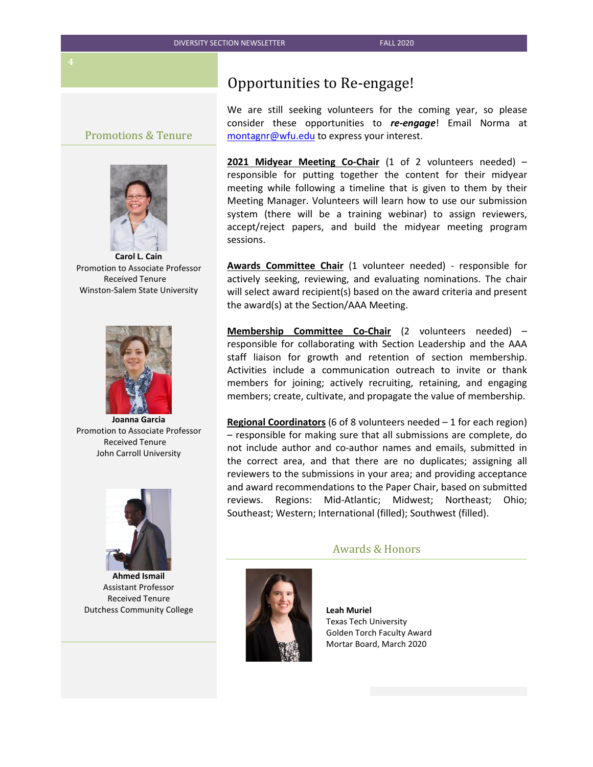#### Promotions & Tenure



**Carol L. Cain** Promotion to Associate Professor Received Tenure Winston-Salem State University



**Joanna Garcia** Promotion to Associate Professor Received Tenure John Carroll University



**Ahmed Ismail** Assistant Professor Received Tenure Dutchess Community College

### Opportunities to Re-engage!

We are still seeking volunteers for the coming year, so please consider these opportunities to *re-engage*! Email Norma at [montagnr@wfu.edu](mailto:montagnr@wfu.edu) to express your interest.

**2021 Midyear Meeting Co-Chair** (1 of 2 volunteers needed) – responsible for putting together the content for their midyear meeting while following a timeline that is given to them by their Meeting Manager. Volunteers will learn how to use our submission system (there will be a training webinar) to assign reviewers, accept/reject papers, and build the midyear meeting program sessions.

**Awards Committee Chair** (1 volunteer needed) - responsible for actively seeking, reviewing, and evaluating nominations. The chair will select award recipient(s) based on the award criteria and present the award(s) at the Section/AAA Meeting.

**Membership Committee Co-Chair** (2 volunteers needed) – responsible for collaborating with Section Leadership and the AAA staff liaison for growth and retention of section membership. Activities include a communication outreach to invite or thank members for joining; actively recruiting, retaining, and engaging members; create, cultivate, and propagate the value of membership.

**Regional Coordinators** (6 of 8 volunteers needed – 1 for each region) – responsible for making sure that all submissions are complete, do not include author and co-author names and emails, submitted in the correct area, and that there are no duplicates; assigning all reviewers to the submissions in your area; and providing acceptance and award recommendations to the Paper Chair, based on submitted reviews. Regions: Mid-Atlantic; Midwest; Northeast; Ohio; Southeast; Western; International (filled); Southwest (filled).

#### Awards & Honors



**Leah Muriel** Texas Tech University Golden Torch Faculty Award Mortar Board, March 2020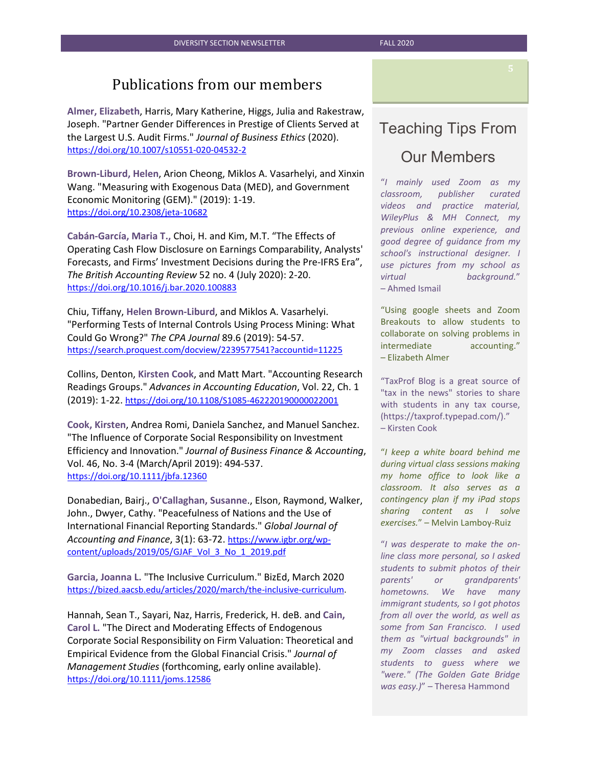## Publications from our members

**Almer, Elizabeth**, Harris, Mary Katherine, Higgs, Julia and Rakestraw, Joseph. "Partner Gender Differences in Prestige of Clients Served at the Largest U.S. Audit Firms." *Journal of Business Ethics* (2020). <https://doi.org/10.1007/s10551-020-04532-2>

**Brown-Liburd, Helen**, Arion Cheong, Miklos A. Vasarhelyi, and Xinxin Wang. "Measuring with Exogenous Data (MED), and Government Economic Monitoring (GEM)." (2019): 1-19. <https://doi.org/10.2308/jeta-10682>

**Cabán-García, Maria T.,** Choi, H. and Kim, M.T. "The Effects of Operating Cash Flow Disclosure on Earnings Comparability, Analysts' Forecasts, and Firms' Investment Decisions during the Pre-IFRS Era", *The British Accounting Review* 52 no. 4 (July 2020): 2-20. <https://doi.org/10.1016/j.bar.2020.100883>

Chiu, Tiffany, **Helen Brown-Liburd**, and Miklos A. Vasarhelyi. "Performing Tests of Internal Controls Using Process Mining: What Could Go Wrong?" *The CPA Journal* 89.6 (2019): 54-57. <https://search.proquest.com/docview/2239577541?accountid=11225>

Collins, Denton, **Kirsten Cook**, and Matt Mart. "Accounting Research Readings Groups." *Advances in Accounting Education*, Vol. 22, Ch. 1 (2019): 1-22.<https://doi.org/10.1108/S1085-462220190000022001>

**Cook, Kirsten**, Andrea Romi, Daniela Sanchez, and Manuel Sanchez. "The Influence of Corporate Social Responsibility on Investment Efficiency and Innovation." *Journal of Business Finance & Accounting*, Vol. 46, No. 3-4 (March/April 2019): 494-537. <https://doi.org/10.1111/jbfa.12360>

Donabedian, Bairj., **O'Callaghan, Susanne**., Elson, Raymond, Walker, John., Dwyer, Cathy. "Peacefulness of Nations and the Use of International Financial Reporting Standards." *Global Journal of Accounting and Finance*, 3(1): 63-72. [https://www.igbr.org/wp](https://www.igbr.org/wp-content/uploads/2019/05/GJAF_Vol_3_No_1_2019.pdf)[content/uploads/2019/05/GJAF\\_Vol\\_3\\_No\\_1\\_2019.pdf](https://www.igbr.org/wp-content/uploads/2019/05/GJAF_Vol_3_No_1_2019.pdf)

**Garcia, Joanna L.** "The Inclusive Curriculum." BizEd, March 2020 [https://bized.aacsb.edu/articles/2020/march/the-inclusive-curriculum.](https://bized.aacsb.edu/articles/2020/march/the-inclusive-curriculum) 

Hannah, Sean T., Sayari, Naz, Harris, Frederick, H. deB. and **Cain, Carol L.** "The Direct and Moderating Effects of Endogenous Corporate Social Responsibility on Firm Valuation: Theoretical and Empirical Evidence from the Global Financial Crisis." *Journal of Management Studies* (forthcoming, early online available). <https://doi.org/10.1111/joms.12586>

## Teaching Tips From Our Members

"*I mainly used Zoom as my classroom, publisher curated videos and practice material, WileyPlus & MH Connect, my previous online experience, and good degree of guidance from my school's instructional designer. I use pictures from my school as virtual background.*" – Ahmed Ismail

"Using google sheets and Zoom Breakouts to allow students to collaborate on solving problems in intermediate accounting." – Elizabeth Almer

"TaxProf Blog is a great source of "tax in the news" stories to share with students in any tax course, (https://taxprof.typepad.com/)." – Kirsten Cook

"*I keep a white board behind me during virtual class sessions making my home office to look like a classroom. It also serves as a contingency plan if my iPad stops sharing content as I solve exercises.*" – Melvin Lamboy-Ruiz

"*I was desperate to make the online class more personal, so I asked students to submit photos of their parents' or grandparents' hometowns. We have many immigrant students, so I got photos from all over the world, as well as some from San Francisco. I used them as "virtual backgrounds" in my Zoom classes and asked students to guess where we "were." (The Golden Gate Bridge was easy.)*" – Theresa Hammond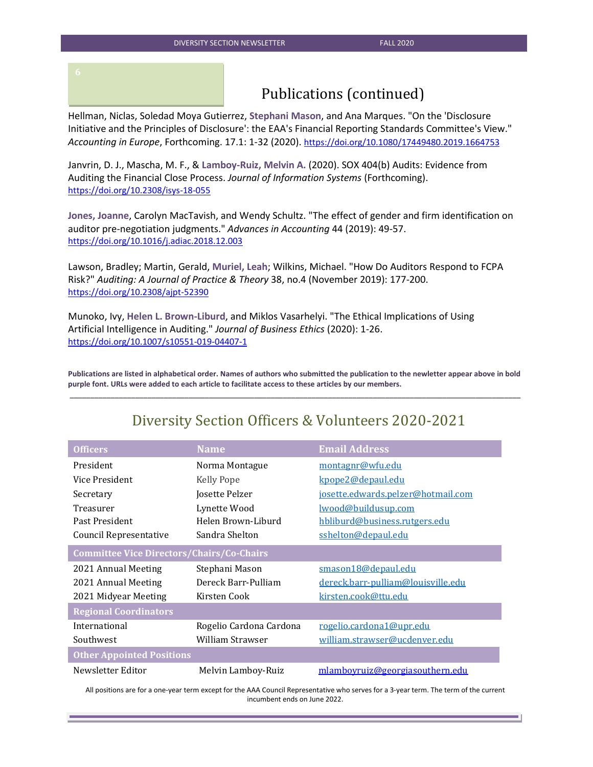## Publications (continued)

Hellman, Niclas, Soledad Moya Gutierrez, **Stephani Mason**, and Ana Marques. "On the 'Disclosure Initiative and the Principles of Disclosure': the EAA's Financial Reporting Standards Committee's View." *Accounting in Europe*, Forthcoming. 17.1: 1-32 (2020). <https://doi.org/10.1080/17449480.2019.1664753>

Janvrin, D. J., Mascha, M. F., & **Lamboy-Ruiz, Melvin A.** (2020). SOX 404(b) Audits: Evidence from Auditing the Financial Close Process. *Journal of Information Systems* (Forthcoming). <https://doi.org/10.2308/isys-18-055>

**Jones, Joanne**, Carolyn MacTavish, and Wendy Schultz. "The effect of gender and firm identification on auditor pre-negotiation judgments." *Advances in Accounting* 44 (2019): 49-57. <https://doi.org/10.1016/j.adiac.2018.12.003>

Lawson, Bradley; Martin, Gerald, **Muriel, Leah**; Wilkins, Michael. "How Do Auditors Respond to FCPA Risk?" *Auditing: A Journal of Practice & Theory* 38, no.4 (November 2019): 177-200. <https://doi.org/10.2308/ajpt-52390>

Munoko, Ivy, **Helen L. Brown-Liburd**, and Miklos Vasarhelyi. "The Ethical Implications of Using Artificial Intelligence in Auditing." *Journal of Business Ethics* (2020): 1-26. <https://doi.org/10.1007/s10551-019-04407-1>

**Publications are listed in alphabetical order. Names of authors who submitted the publication to the newletter appear above in bold purple font. URLs were added to each article to facilitate access to these articles by our members.** \_\_\_\_\_\_\_\_\_\_\_\_\_\_\_\_\_\_\_\_\_\_\_\_\_\_\_\_\_\_\_\_\_\_\_\_\_\_\_\_\_\_\_\_\_\_\_\_\_\_\_\_\_\_\_\_\_\_\_\_\_\_\_\_\_\_\_\_\_\_\_\_\_\_\_\_\_\_\_\_\_\_\_\_\_\_\_\_\_\_\_\_\_\_\_\_\_\_\_\_\_\_\_\_\_\_\_\_\_\_

| <b>Officers</b>                                  | <b>Name</b>             | <b>Email Address</b>               |  |
|--------------------------------------------------|-------------------------|------------------------------------|--|
| President                                        | Norma Montague          | montagnr@wfu.edu                   |  |
| Vice President                                   | <b>Kelly Pope</b>       | kpope2@depaul.edu                  |  |
| Secretary                                        | Josette Pelzer          | josette.edwards.pelzer@hotmail.com |  |
| Treasurer                                        | Lynette Wood            | <u>lwood@buildusup.com</u>         |  |
| Past President                                   | Helen Brown-Liburd      | hbliburd@business.rutgers.edu      |  |
| Council Representative                           | Sandra Shelton          | sshelton@depaul.edu                |  |
| <b>Committee Vice Directors/Chairs/Co-Chairs</b> |                         |                                    |  |
| 2021 Annual Meeting                              | Stephani Mason          | smason18@depaul.edu                |  |
| 2021 Annual Meeting                              | Dereck Barr-Pulliam     | dereck.barr-pulliam@louisville.edu |  |
| 2021 Midyear Meeting                             | Kirsten Cook            | kirsten.cook@ttu.edu               |  |
| <b>Regional Coordinators</b>                     |                         |                                    |  |
| International                                    | Rogelio Cardona Cardona | rogelio.cardona1@upr.edu           |  |
| Southwest                                        | William Strawser        | william.strawser@ucdenver.edu      |  |
| <b>Other Appointed Positions</b>                 |                         |                                    |  |
| Newsletter Editor                                | Melvin Lamboy-Ruiz      | mlamboyruiz@georgiasouthern.edu    |  |

## Diversity Section Officers & Volunteers 2020-2021

All positions are for a one-year term except for the AAA Council Representative who serves for a 3-year term. The term of the current incumbent ends on June 2022.